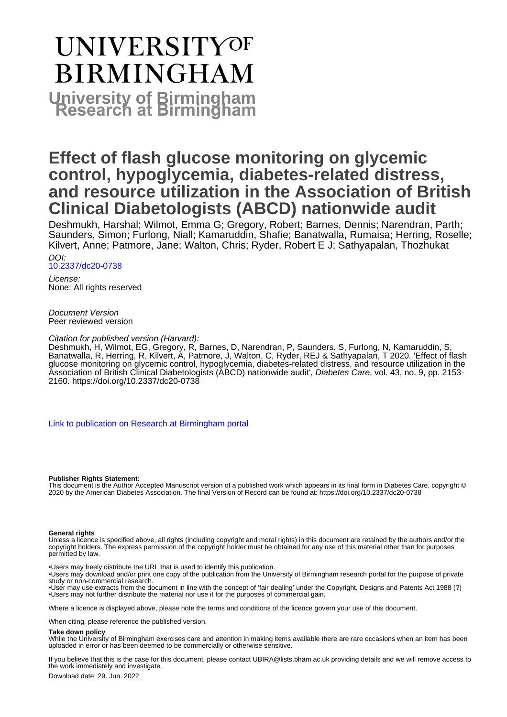# **UNIVERSITYOF BIRMINGHAM University of Birmingham**

# **Effect of flash glucose monitoring on glycemic control, hypoglycemia, diabetes-related distress, and resource utilization in the Association of British Clinical Diabetologists (ABCD) nationwide audit**

Deshmukh, Harshal; Wilmot, Emma G; Gregory, Robert; Barnes, Dennis; Narendran, Parth; Saunders, Simon; Furlong, Niall; Kamaruddin, Shafie; Banatwalla, Rumaisa; Herring, Roselle; Kilvert, Anne; Patmore, Jane; Walton, Chris; Ryder, Robert E J; Sathyapalan, Thozhukat

DOI: [10.2337/dc20-0738](https://doi.org/10.2337/dc20-0738)

License: None: All rights reserved

Document Version Peer reviewed version

#### Citation for published version (Harvard):

Deshmukh, H, Wilmot, EG, Gregory, R, Barnes, D, Narendran, P, Saunders, S, Furlong, N, Kamaruddin, S, Banatwalla, R, Herring, R, Kilvert, A, Patmore, J, Walton, C, Ryder, REJ & Sathyapalan, T 2020, 'Effect of flash glucose monitoring on glycemic control, hypoglycemia, diabetes-related distress, and resource utilization in the Association of British Clinical Diabetologists (ABCD) nationwide audit', Diabetes Care, vol. 43, no. 9, pp. 2153- 2160. <https://doi.org/10.2337/dc20-0738>

[Link to publication on Research at Birmingham portal](https://birmingham.elsevierpure.com/en/publications/9131e744-9842-4c34-8aed-cfe4e7f27e29)

#### **Publisher Rights Statement:**

This document is the Author Accepted Manuscript version of a published work which appears in its final form in Diabetes Care, copyright © 2020 by the American Diabetes Association. The final Version of Record can be found at: https://doi.org/10.2337/dc20-0738

#### **General rights**

Unless a licence is specified above, all rights (including copyright and moral rights) in this document are retained by the authors and/or the copyright holders. The express permission of the copyright holder must be obtained for any use of this material other than for purposes permitted by law.

• Users may freely distribute the URL that is used to identify this publication.

• Users may download and/or print one copy of the publication from the University of Birmingham research portal for the purpose of private study or non-commercial research.

• User may use extracts from the document in line with the concept of 'fair dealing' under the Copyright, Designs and Patents Act 1988 (?) • Users may not further distribute the material nor use it for the purposes of commercial gain.

Where a licence is displayed above, please note the terms and conditions of the licence govern your use of this document.

When citing, please reference the published version.

#### **Take down policy**

While the University of Birmingham exercises care and attention in making items available there are rare occasions when an item has been uploaded in error or has been deemed to be commercially or otherwise sensitive.

If you believe that this is the case for this document, please contact UBIRA@lists.bham.ac.uk providing details and we will remove access to the work immediately and investigate.

Download date: 29. Jun. 2022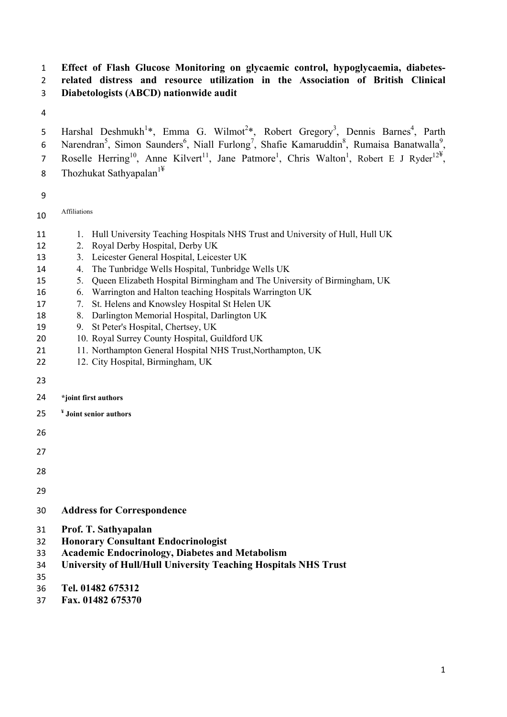# **Effect of Flash Glucose Monitoring on glycaemic control, hypoglycaemia, diabetes- related distress and resource utilization in the Association of British Clinical Diabetologists (ABCD) nationwide audit**

5 Harshal Deshmukh<sup>1\*</sup>, Emma G. Wilmot<sup>2\*</sup>, Robert Gregory<sup>3</sup>, Dennis Barnes<sup>4</sup>, Parth 6 Narendran<sup>5</sup>, Simon Saunders<sup>6</sup>, Niall Furlong<sup>7</sup>, Shafie Kamaruddin<sup>8</sup>, Rumaisa Banatwalla<sup>9</sup>, 7 Roselle Herring<sup>10</sup>, Anne Kilvert<sup>11</sup>, Jane Patmore<sup>1</sup>, Chris Walton<sup>1</sup>, Robert E J Ryder<sup>12¥</sup>, 8 Thozhukat Sathyapalan<sup>1¥</sup>

Affiliations

- 11 1. Hull University Teaching Hospitals NHS Trust and University of Hull, Hull UK
- 12 2. Royal Derby Hospital, Derby UK
- 13 3. Leicester General Hospital, Leicester UK
- 14 4. The Tunbridge Wells Hospital, Tunbridge Wells UK
- 5. Queen Elizabeth Hospital Birmingham and The University of Birmingham, UK
- 6. Warrington and Halton teaching Hospitals Warrington UK
- **17** 2. St. Helens and Knowsley Hospital St Helen UK
- 8. Darlington Memorial Hospital, Darlington UK
- 9. St Peter's Hospital, Chertsey, UK
- 20 10. Royal Surrey County Hospital, Guildford UK
- 21 11. Northampton General Hospital NHS Trust, Northampton, UK
- 22 12. City Hospital, Birmingham, UK
- 
- **\*joint first authors**
- **¥ Joint senior authors**
- 
- 
- 
- 
- 
- **Address for Correspondence**
- **Prof. T. Sathyapalan**
- **Honorary Consultant Endocrinologist**
- **Academic Endocrinology, Diabetes and Metabolism**
- **University of Hull/Hull University Teaching Hospitals NHS Trust**
- 
- **Tel. 01482 675312**
- **Fax. 01482 675370**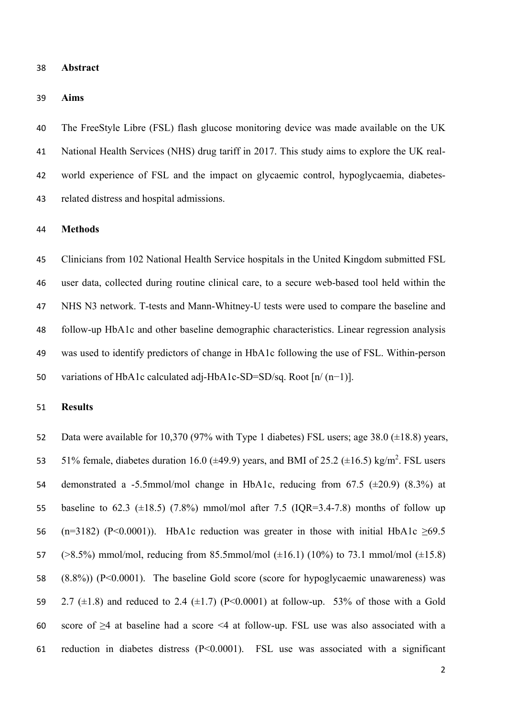**Abstract** 

**Aims** 

 The FreeStyle Libre (FSL) flash glucose monitoring device was made available on the UK National Health Services (NHS) drug tariff in 2017. This study aims to explore the UK real- world experience of FSL and the impact on glycaemic control, hypoglycaemia, diabetes-related distress and hospital admissions.

#### **Methods**

 Clinicians from 102 National Health Service hospitals in the United Kingdom submitted FSL user data, collected during routine clinical care, to a secure web-based tool held within the NHS N3 network. T-tests and Mann-Whitney-U tests were used to compare the baseline and follow-up HbA1c and other baseline demographic characteristics. Linear regression analysis was used to identify predictors of change in HbA1c following the use of FSL. Within-person variations of HbA1c calculated adj-HbA1c-SD=SD/sq. Root [n/ (n−1)].

#### **Results**

 Data were available for 10,370 (97% with Type 1 diabetes) FSL users; age 38.0 (±18.8) years, 53 51% female, diabetes duration 16.0 ( $\pm$ 49.9) years, and BMI of 25.2 ( $\pm$ 16.5) kg/m<sup>2</sup>. FSL users 54 demonstrated a -5.5mmol/mol change in HbA1c, reducing from 67.5  $(\pm 20.9)$  (8.3%) at 55 baseline to 62.3 ( $\pm$ 18.5) (7.8%) mmol/mol after 7.5 (IQR=3.4-7.8) months of follow up 56 (n=3182) (P<0.0001)). HbA1c reduction was greater in those with initial HbA1c  $\geq 69.5$ 57  $(>8.5\%)$  mmol/mol, reducing from 85.5mmol/mol  $(\pm 16.1)$  (10%) to 73.1 mmol/mol  $(\pm 15.8)$  (8.8%)) (P<0.0001). The baseline Gold score (score for hypoglycaemic unawareness) was 59 2.7 ( $\pm$ 1.8) and reduced to 2.4 ( $\pm$ 1.7) (P<0.0001) at follow-up. 53% of those with a Gold score of ≥4 at baseline had a score <4 at follow-up. FSL use was also associated with a reduction in diabetes distress (P<0.0001). FSL use was associated with a significant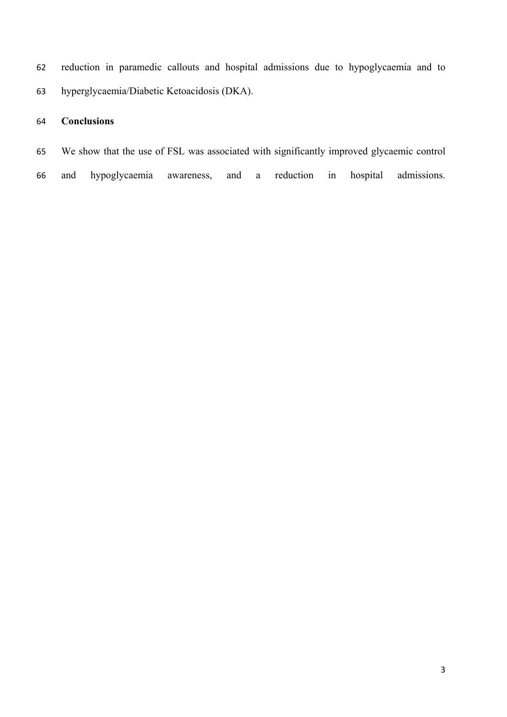reduction in paramedic callouts and hospital admissions due to hypoglycaemia and to hyperglycaemia/Diabetic Ketoacidosis (DKA).

# **Conclusions**

We show that the use of FSL was associated with significantly improved glycaemic control

and hypoglycaemia awareness, and a reduction in hospital admissions.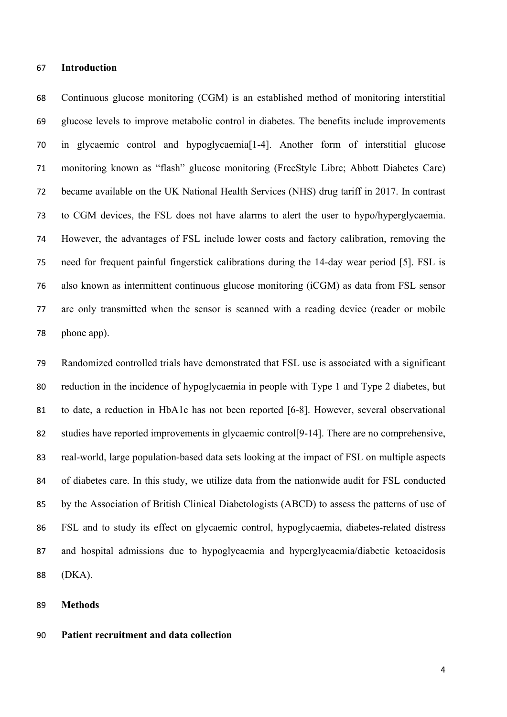#### **Introduction**

 Continuous glucose monitoring (CGM) is an established method of monitoring interstitial glucose levels to improve metabolic control in diabetes. The benefits include improvements in glycaemic control and hypoglycaemia[1-4]. Another form of interstitial glucose monitoring known as "flash" glucose monitoring (FreeStyle Libre; Abbott Diabetes Care) became available on the UK National Health Services (NHS) drug tariff in 2017. In contrast to CGM devices, the FSL does not have alarms to alert the user to hypo/hyperglycaemia. However, the advantages of FSL include lower costs and factory calibration, removing the need for frequent painful fingerstick calibrations during the 14-day wear period [5]. FSL is also known as intermittent continuous glucose monitoring (iCGM) as data from FSL sensor are only transmitted when the sensor is scanned with a reading device (reader or mobile 78 phone app).

 Randomized controlled trials have demonstrated that FSL use is associated with a significant reduction in the incidence of hypoglycaemia in people with Type 1 and Type 2 diabetes, but to date, a reduction in HbA1c has not been reported [6-8]. However, several observational studies have reported improvements in glycaemic control[9-14]. There are no comprehensive, real-world, large population-based data sets looking at the impact of FSL on multiple aspects of diabetes care. In this study, we utilize data from the nationwide audit for FSL conducted by the Association of British Clinical Diabetologists (ABCD) to assess the patterns of use of FSL and to study its effect on glycaemic control, hypoglycaemia, diabetes-related distress and hospital admissions due to hypoglycaemia and hyperglycaemia/diabetic ketoacidosis (DKA).

#### **Methods**

#### **Patient recruitment and data collection**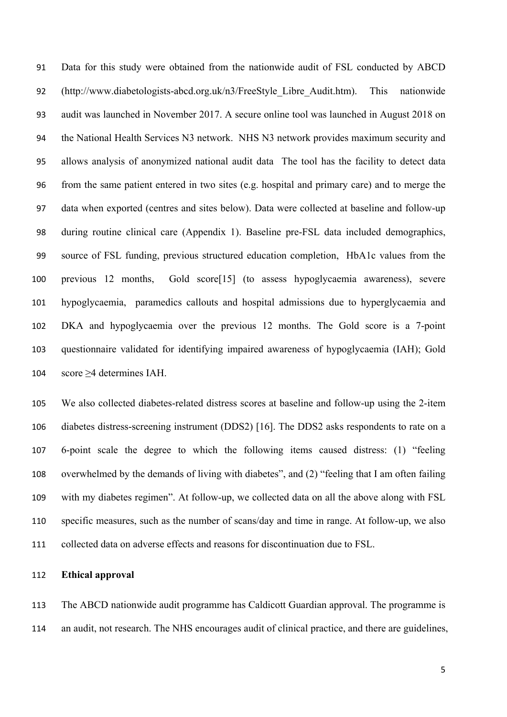Data for this study were obtained from the nationwide audit of FSL conducted by ABCD (http://www.diabetologists-abcd.org.uk/n3/FreeStyle\_Libre\_Audit.htm). This nationwide audit was launched in November 2017. A secure online tool was launched in August 2018 on the National Health Services N3 network. NHS N3 network provides maximum security and allows analysis of anonymized national audit data The tool has the facility to detect data from the same patient entered in two sites (e.g. hospital and primary care) and to merge the data when exported (centres and sites below). Data were collected at baseline and follow-up during routine clinical care (Appendix 1). Baseline pre-FSL data included demographics, source of FSL funding, previous structured education completion, HbA1c values from the previous 12 months, Gold score[15] (to assess hypoglycaemia awareness), severe hypoglycaemia, paramedics callouts and hospital admissions due to hyperglycaemia and DKA and hypoglycaemia over the previous 12 months. The Gold score is a 7‐point questionnaire validated for identifying impaired awareness of hypoglycaemia (IAH); Gold score ≥4 determines IAH.

 We also collected diabetes-related distress scores at baseline and follow-up using the 2-item diabetes distress-screening instrument (DDS2) [16]. The DDS2 asks respondents to rate on a 6-point scale the degree to which the following items caused distress: (1) "feeling overwhelmed by the demands of living with diabetes", and (2) "feeling that I am often failing with my diabetes regimen". At follow-up, we collected data on all the above along with FSL specific measures, such as the number of scans/day and time in range. At follow-up, we also collected data on adverse effects and reasons for discontinuation due to FSL.

#### **Ethical approval**

 The ABCD nationwide audit programme has Caldicott Guardian approval. The programme is an audit, not research. The NHS encourages audit of clinical practice, and there are guidelines,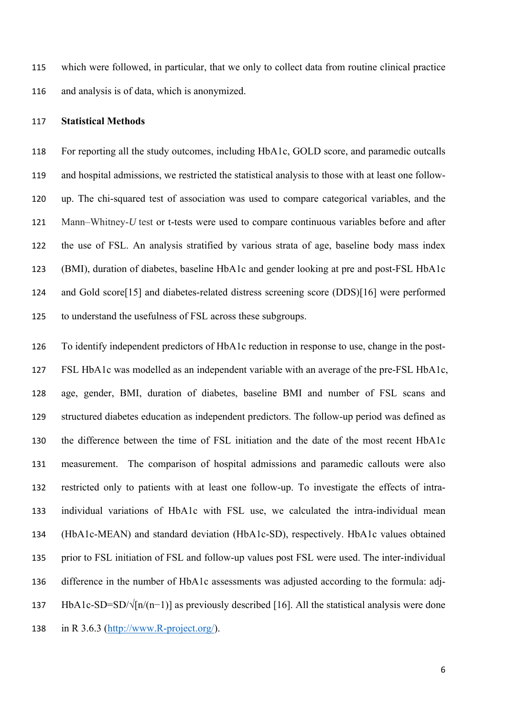which were followed, in particular, that we only to collect data from routine clinical practice and analysis is of data, which is anonymized.

#### **Statistical Methods**

 For reporting all the study outcomes, including HbA1c, GOLD score, and paramedic outcalls and hospital admissions, we restricted the statistical analysis to those with at least one follow- up. The chi-squared test of association was used to compare categorical variables, and the Mann–Whitney-*U* test or t-tests were used to compare continuous variables before and after the use of FSL. An analysis stratified by various strata of age, baseline body mass index (BMI), duration of diabetes, baseline HbA1c and gender looking at pre and post-FSL HbA1c and Gold score[15] and diabetes-related distress screening score (DDS)[16] were performed to understand the usefulness of FSL across these subgroups.

 To identify independent predictors of HbA1c reduction in response to use, change in the post- FSL HbA1c was modelled as an independent variable with an average of the pre-FSL HbA1c, age, gender, BMI, duration of diabetes, baseline BMI and number of FSL scans and structured diabetes education as independent predictors. The follow-up period was defined as the difference between the time of FSL initiation and the date of the most recent HbA1c measurement. The comparison of hospital admissions and paramedic callouts were also restricted only to patients with at least one follow-up. To investigate the effects of intra- individual variations of HbA1c with FSL use, we calculated the intra-individual mean (HbA1c-MEAN) and standard deviation (HbA1c-SD), respectively. HbA1c values obtained prior to FSL initiation of FSL and follow-up values post FSL were used. The inter-individual difference in the number of HbA1c assessments was adjusted according to the formula: adj- HbA1c-SD=SD/√[n/(n−1)] as previously described [16]. All the statistical analysis were done in R 3.6.3 (http://www.R-project.org/).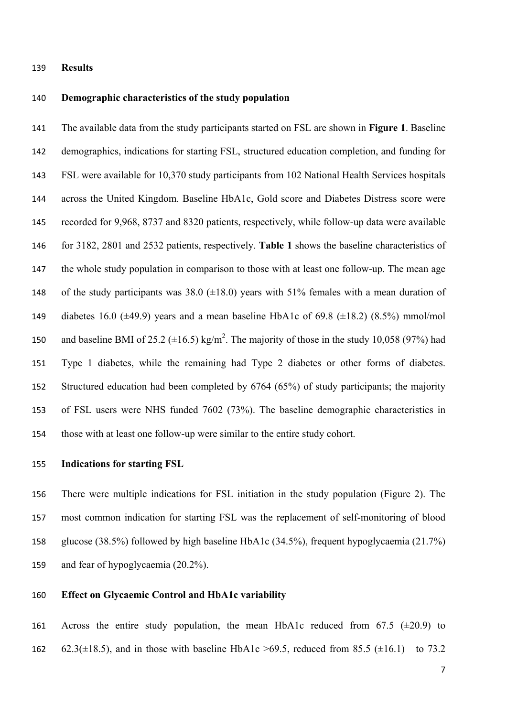#### **Results**

#### **Demographic characteristics of the study population**

 The available data from the study participants started on FSL are shown in **Figure 1**. Baseline demographics, indications for starting FSL, structured education completion, and funding for FSL were available for 10,370 study participants from 102 National Health Services hospitals across the United Kingdom. Baseline HbA1c, Gold score and Diabetes Distress score were recorded for 9,968, 8737 and 8320 patients, respectively, while follow-up data were available for 3182, 2801 and 2532 patients, respectively. **Table 1** shows the baseline characteristics of the whole study population in comparison to those with at least one follow-up. The mean age 148 of the study participants was  $38.0$  ( $\pm 18.0$ ) years with 51% females with a mean duration of 149 diabetes 16.0 ( $\pm$ 49.9) years and a mean baseline HbA1c of 69.8 ( $\pm$ 18.2) (8.5%) mmol/mol 150 and baseline BMI of 25.2  $(\pm 16.5)$  kg/m<sup>2</sup>. The majority of those in the study 10,058 (97%) had Type 1 diabetes, while the remaining had Type 2 diabetes or other forms of diabetes. Structured education had been completed by 6764 (65%) of study participants; the majority of FSL users were NHS funded 7602 (73%). The baseline demographic characteristics in those with at least one follow-up were similar to the entire study cohort.

#### **Indications for starting FSL**

 There were multiple indications for FSL initiation in the study population (Figure 2). The most common indication for starting FSL was the replacement of self-monitoring of blood glucose (38.5%) followed by high baseline HbA1c (34.5%), frequent hypoglycaemia (21.7%) and fear of hypoglycaemia (20.2%).

#### **Effect on Glycaemic Control and HbA1c variability**

161 Across the entire study population, the mean HbA1c reduced from  $67.5$  ( $\pm 20.9$ ) to 162 62.3( $\pm$ 18.5), and in those with baseline HbA1c >69.5, reduced from 85.5 ( $\pm$ 16.1) to 73.2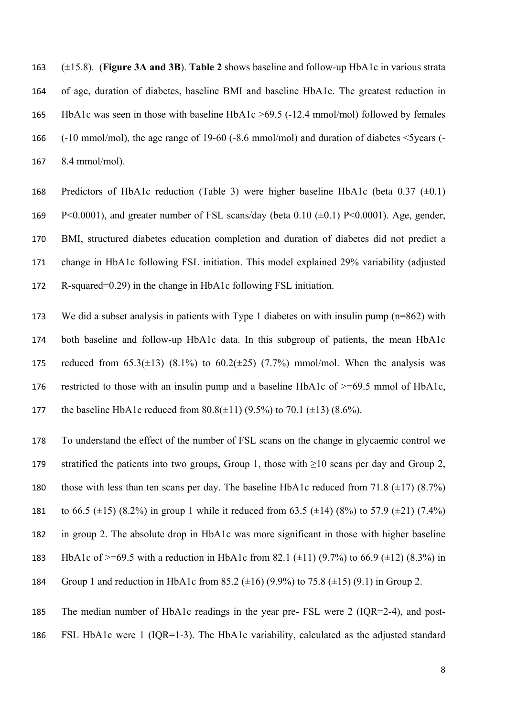(±15.8). (**Figure 3A and 3B**). **Table 2** shows baseline and follow-up HbA1c in various strata of age, duration of diabetes, baseline BMI and baseline HbA1c. The greatest reduction in HbA1c was seen in those with baseline HbA1c >69.5 (-12.4 mmol/mol) followed by females (-10 mmol/mol), the age range of 19-60 (-8.6 mmol/mol) and duration of diabetes <5years (- 8.4 mmol/mol).

168 Predictors of HbA1c reduction (Table 3) were higher baseline HbA1c (beta  $0.37$  ( $\pm 0.1$ ) 169 P<0.0001), and greater number of FSL scans/day (beta  $0.10$  ( $\pm$ 0.1) P<0.0001). Age, gender, BMI, structured diabetes education completion and duration of diabetes did not predict a change in HbA1c following FSL initiation. This model explained 29% variability (adjusted R-squared=0.29) in the change in HbA1c following FSL initiation.

 We did a subset analysis in patients with Type 1 diabetes on with insulin pump (n=862) with both baseline and follow-up HbA1c data. In this subgroup of patients, the mean HbA1c 175 reduced from  $65.3(\pm 13)$   $(8.1\%)$  to  $60.2(\pm 25)$   $(7.7\%)$  mmol/mol. When the analysis was restricted to those with an insulin pump and a baseline HbA1c of >=69.5 mmol of HbA1c, 177 the baseline HbA1c reduced from  $80.8(\pm 11)$  (9.5%) to 70.1 ( $\pm 13$ ) (8.6%).

 To understand the effect of the number of FSL scans on the change in glycaemic control we 179 stratified the patients into two groups, Group 1, those with  $\geq 10$  scans per day and Group 2, 180 those with less than ten scans per day. The baseline HbA1c reduced from 71.8  $(\pm 17)$  (8.7%) 181 to 66.5  $(\pm 15)$  (8.2%) in group 1 while it reduced from 63.5  $(\pm 14)$  (8%) to 57.9  $(\pm 21)$  (7.4%)

- in group 2. The absolute drop in HbA1c was more significant in those with higher baseline
- 183 HbA1c of  $>=69.5$  with a reduction in HbA1c from 82.1 ( $\pm$ 11) (9.7%) to 66.9 ( $\pm$ 12) (8.3%) in
- 184 Group 1 and reduction in HbA1c from 85.2  $(\pm 16)$  (9.9%) to 75.8  $(\pm 15)$  (9.1) in Group 2.
- The median number of HbA1c readings in the year pre- FSL were 2 (IQR=2-4), and post-FSL HbA1c were 1 (IQR=1-3). The HbA1c variability, calculated as the adjusted standard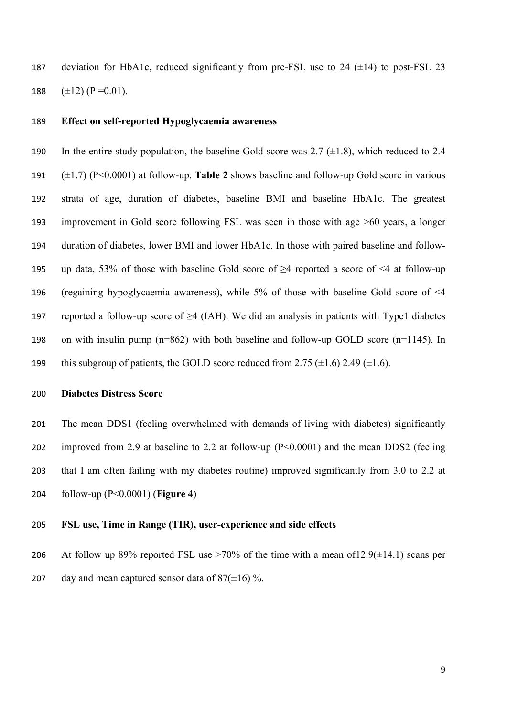187 deviation for HbA1c, reduced significantly from pre-FSL use to 24  $(\pm 14)$  to post-FSL 23 188  $(\pm 12)$  (P = 0.01).

#### **Effect on self-reported Hypoglycaemia awareness**

190 In the entire study population, the baseline Gold score was  $2.7 \ (\pm 1.8)$ , which reduced to 2.4 (±1.7) (P<0.0001) at follow-up. **Table 2** shows baseline and follow-up Gold score in various strata of age, duration of diabetes, baseline BMI and baseline HbA1c. The greatest improvement in Gold score following FSL was seen in those with age >60 years, a longer duration of diabetes, lower BMI and lower HbA1c. In those with paired baseline and follow-195 up data, 53% of those with baseline Gold score of  $\geq$ 4 reported a score of  $\leq$ 4 at follow-up (regaining hypoglycaemia awareness), while 5% of those with baseline Gold score of <4 197 reported a follow-up score of  $\geq$ 4 (IAH). We did an analysis in patients with Type1 diabetes on with insulin pump (n=862) with both baseline and follow-up GOLD score (n=1145). In 199 this subgroup of patients, the GOLD score reduced from 2.75  $(\pm 1.6)$  2.49  $(\pm 1.6)$ .

#### **Diabetes Distress Score**

 The mean DDS1 (feeling overwhelmed with demands of living with diabetes) significantly improved from 2.9 at baseline to 2.2 at follow-up (P<0.0001) and the mean DDS2 (feeling that I am often failing with my diabetes routine) improved significantly from 3.0 to 2.2 at follow-up (P<0.0001) (**Figure 4**)

#### **FSL use, Time in Range (TIR), user-experience and side effects**

206 At follow up 89% reported FSL use  $>70\%$  of the time with a mean of 12.9( $\pm$ 14.1) scans per 207 day and mean captured sensor data of  $87(\pm 16)$ %.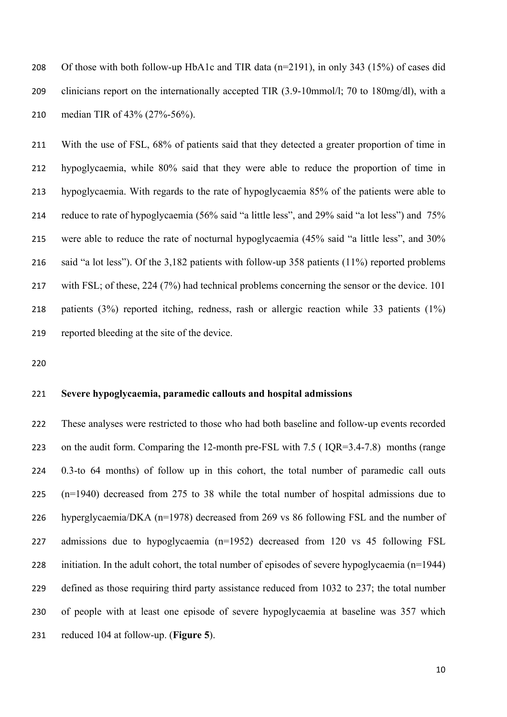Of those with both follow-up HbA1c and TIR data (n=2191), in only 343 (15%) of cases did clinicians report on the internationally accepted TIR (3.9-10mmol/l; 70 to 180mg/dl), with a median TIR of 43% (27%-56%).

 With the use of FSL, 68% of patients said that they detected a greater proportion of time in hypoglycaemia, while 80% said that they were able to reduce the proportion of time in hypoglycaemia. With regards to the rate of hypoglycaemia 85% of the patients were able to reduce to rate of hypoglycaemia (56% said "a little less", and 29% said "a lot less") and 75% were able to reduce the rate of nocturnal hypoglycaemia (45% said "a little less", and 30% said "a lot less"). Of the 3,182 patients with follow-up 358 patients (11%) reported problems with FSL; of these, 224 (7%) had technical problems concerning the sensor or the device. 101 patients (3%) reported itching, redness, rash or allergic reaction while 33 patients (1%) reported bleeding at the site of the device.

#### **Severe hypoglycaemia, paramedic callouts and hospital admissions**

 These analyses were restricted to those who had both baseline and follow-up events recorded on the audit form. Comparing the 12-month pre-FSL with 7.5 ( IQR=3.4-7.8) months (range 0.3-to 64 months) of follow up in this cohort, the total number of paramedic call outs (n=1940) decreased from 275 to 38 while the total number of hospital admissions due to hyperglycaemia/DKA (n=1978) decreased from 269 vs 86 following FSL and the number of admissions due to hypoglycaemia (n=1952) decreased from 120 vs 45 following FSL initiation. In the adult cohort, the total number of episodes of severe hypoglycaemia (n=1944) defined as those requiring third party assistance reduced from 1032 to 237; the total number of people with at least one episode of severe hypoglycaemia at baseline was 357 which reduced 104 at follow-up. (**Figure 5**).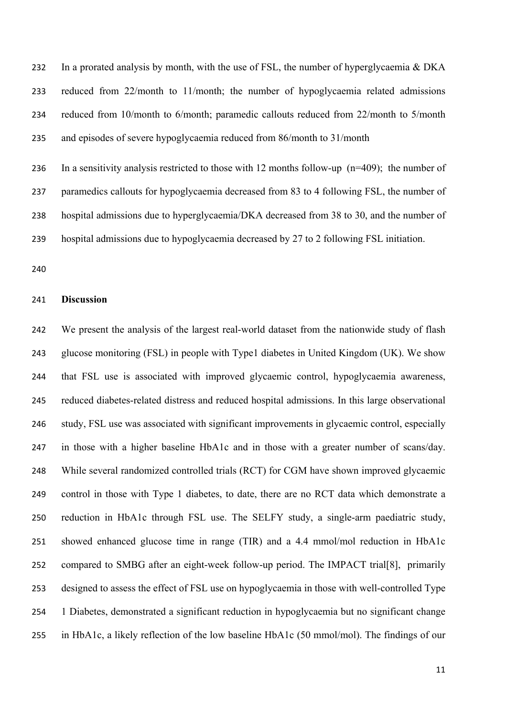232 In a prorated analysis by month, with the use of FSL, the number of hyperglycaemia & DKA reduced from 22/month to 11/month; the number of hypoglycaemia related admissions reduced from 10/month to 6/month; paramedic callouts reduced from 22/month to 5/month and episodes of severe hypoglycaemia reduced from 86/month to 31/month

 In a sensitivity analysis restricted to those with 12 months follow-up (n=409); the number of paramedics callouts for hypoglycaemia decreased from 83 to 4 following FSL, the number of hospital admissions due to hyperglycaemia/DKA decreased from 38 to 30, and the number of hospital admissions due to hypoglycaemia decreased by 27 to 2 following FSL initiation.

#### **Discussion**

 We present the analysis of the largest real-world dataset from the nationwide study of flash glucose monitoring (FSL) in people with Type1 diabetes in United Kingdom (UK). We show that FSL use is associated with improved glycaemic control, hypoglycaemia awareness, reduced diabetes-related distress and reduced hospital admissions. In this large observational study, FSL use was associated with significant improvements in glycaemic control, especially in those with a higher baseline HbA1c and in those with a greater number of scans/day. While several randomized controlled trials (RCT) for CGM have shown improved glycaemic control in those with Type 1 diabetes, to date, there are no RCT data which demonstrate a reduction in HbA1c through FSL use. The SELFY study, a single-arm paediatric study, showed enhanced glucose time in range (TIR) and a 4.4 mmol/mol reduction in HbA1c compared to SMBG after an eight-week follow-up period. The IMPACT trial[8], primarily designed to assess the effect of FSL use on hypoglycaemia in those with well-controlled Type 1 Diabetes, demonstrated a significant reduction in hypoglycaemia but no significant change in HbA1c, a likely reflection of the low baseline HbA1c (50 mmol/mol). The findings of our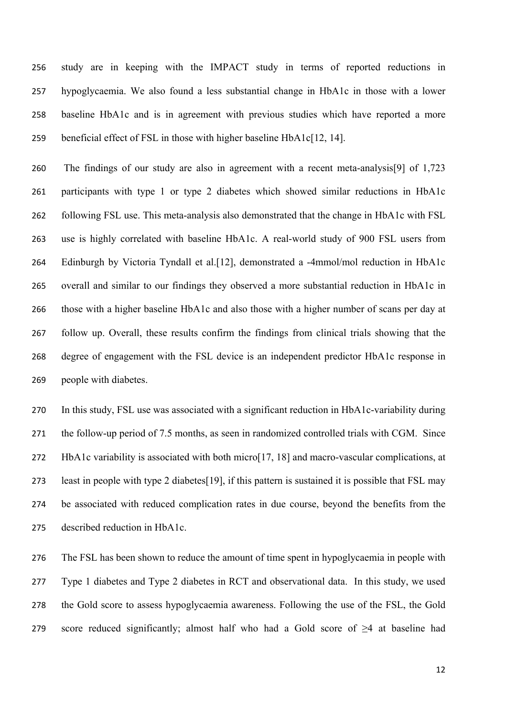study are in keeping with the IMPACT study in terms of reported reductions in hypoglycaemia. We also found a less substantial change in HbA1c in those with a lower baseline HbA1c and is in agreement with previous studies which have reported a more beneficial effect of FSL in those with higher baseline HbA1c[12, 14].

 The findings of our study are also in agreement with a recent meta-analysis[9] of 1,723 participants with type 1 or type 2 diabetes which showed similar reductions in HbA1c following FSL use. This meta-analysis also demonstrated that the change in HbA1c with FSL use is highly correlated with baseline HbA1c. A real-world study of 900 FSL users from Edinburgh by Victoria Tyndall et al.[12], demonstrated a -4mmol/mol reduction in HbA1c overall and similar to our findings they observed a more substantial reduction in HbA1c in those with a higher baseline HbA1c and also those with a higher number of scans per day at follow up. Overall, these results confirm the findings from clinical trials showing that the degree of engagement with the FSL device is an independent predictor HbA1c response in people with diabetes.

 In this study, FSL use was associated with a significant reduction in HbA1c-variability during the follow-up period of 7.5 months, as seen in randomized controlled trials with CGM. Since HbA1c variability is associated with both micro[17, 18] and macro-vascular complications, at least in people with type 2 diabetes[19], if this pattern is sustained it is possible that FSL may be associated with reduced complication rates in due course, beyond the benefits from the described reduction in HbA1c.

 The FSL has been shown to reduce the amount of time spent in hypoglycaemia in people with Type 1 diabetes and Type 2 diabetes in RCT and observational data. In this study, we used the Gold score to assess hypoglycaemia awareness. Following the use of the FSL, the Gold 279 score reduced significantly; almost half who had a Gold score of  $\geq 4$  at baseline had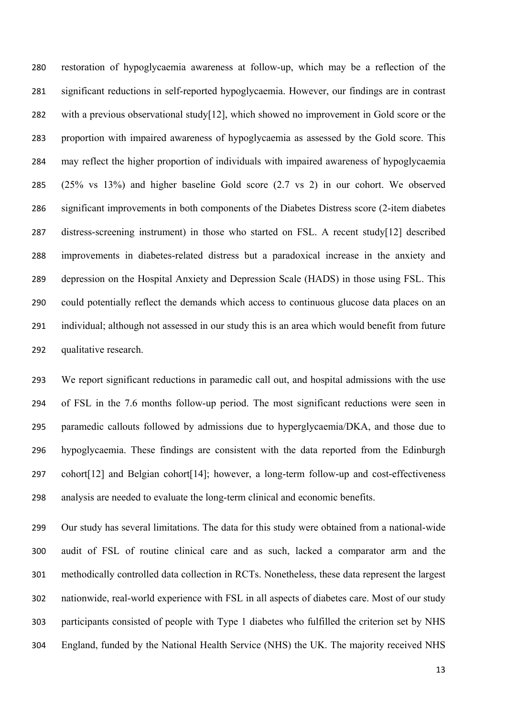restoration of hypoglycaemia awareness at follow-up, which may be a reflection of the significant reductions in self-reported hypoglycaemia. However, our findings are in contrast with a previous observational study[12], which showed no improvement in Gold score or the proportion with impaired awareness of hypoglycaemia as assessed by the Gold score. This may reflect the higher proportion of individuals with impaired awareness of hypoglycaemia (25% vs 13%) and higher baseline Gold score (2.7 vs 2) in our cohort. We observed significant improvements in both components of the Diabetes Distress score (2-item diabetes distress-screening instrument) in those who started on FSL. A recent study[12] described improvements in diabetes-related distress but a paradoxical increase in the anxiety and depression on the Hospital Anxiety and Depression Scale (HADS) in those using FSL. This could potentially reflect the demands which access to continuous glucose data places on an individual; although not assessed in our study this is an area which would benefit from future qualitative research.

 We report significant reductions in paramedic call out, and hospital admissions with the use of FSL in the 7.6 months follow-up period. The most significant reductions were seen in paramedic callouts followed by admissions due to hyperglycaemia/DKA, and those due to hypoglycaemia. These findings are consistent with the data reported from the Edinburgh cohort[12] and Belgian cohort[14]; however, a long-term follow-up and cost-effectiveness analysis are needed to evaluate the long-term clinical and economic benefits.

 Our study has several limitations. The data for this study were obtained from a national-wide audit of FSL of routine clinical care and as such, lacked a comparator arm and the methodically controlled data collection in RCTs. Nonetheless, these data represent the largest nationwide, real-world experience with FSL in all aspects of diabetes care. Most of our study participants consisted of people with Type 1 diabetes who fulfilled the criterion set by NHS England, funded by the National Health Service (NHS) the UK. The majority received NHS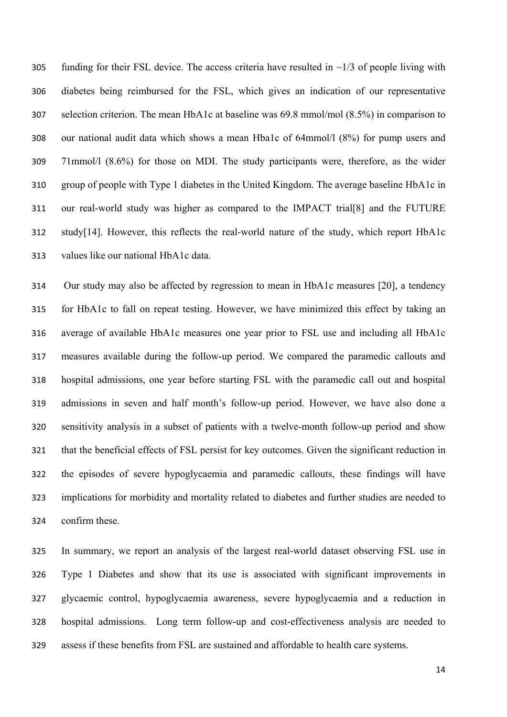305 funding for their FSL device. The access criteria have resulted in  $\sim$ 1/3 of people living with diabetes being reimbursed for the FSL, which gives an indication of our representative selection criterion. The mean HbA1c at baseline was 69.8 mmol/mol (8.5%) in comparison to our national audit data which shows a mean Hba1c of 64mmol/l (8%) for pump users and 71mmol/l (8.6%) for those on MDI. The study participants were, therefore, as the wider group of people with Type 1 diabetes in the United Kingdom. The average baseline HbA1c in our real-world study was higher as compared to the IMPACT trial[8] and the FUTURE study[14]. However, this reflects the real-world nature of the study, which report HbA1c values like our national HbA1c data.

 Our study may also be affected by regression to mean in HbA1c measures [20], a tendency for HbA1c to fall on repeat testing. However, we have minimized this effect by taking an average of available HbA1c measures one year prior to FSL use and including all HbA1c measures available during the follow-up period. We compared the paramedic callouts and hospital admissions, one year before starting FSL with the paramedic call out and hospital admissions in seven and half month's follow-up period. However, we have also done a sensitivity analysis in a subset of patients with a twelve-month follow-up period and show that the beneficial effects of FSL persist for key outcomes. Given the significant reduction in the episodes of severe hypoglycaemia and paramedic callouts, these findings will have implications for morbidity and mortality related to diabetes and further studies are needed to confirm these.

 In summary, we report an analysis of the largest real-world dataset observing FSL use in Type 1 Diabetes and show that its use is associated with significant improvements in glycaemic control, hypoglycaemia awareness, severe hypoglycaemia and a reduction in hospital admissions. Long term follow-up and cost-effectiveness analysis are needed to assess if these benefits from FSL are sustained and affordable to health care systems.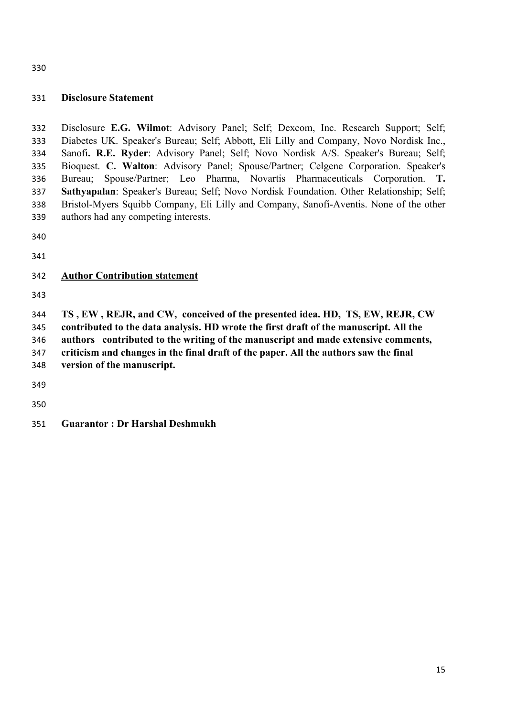#### **Disclosure Statement**

 Disclosure **E.G. Wilmot**: Advisory Panel; Self; Dexcom, Inc. Research Support; Self; Diabetes UK. Speaker's Bureau; Self; Abbott, Eli Lilly and Company, Novo Nordisk Inc., Sanofi**. R.E. Ryder**: Advisory Panel; Self; Novo Nordisk A/S. Speaker's Bureau; Self; Bioquest. **C. Walton**: Advisory Panel; Spouse/Partner; Celgene Corporation. Speaker's Bureau; Spouse/Partner; Leo Pharma, Novartis Pharmaceuticals Corporation. **T. Sathyapalan**: Speaker's Bureau; Self; Novo Nordisk Foundation. Other Relationship; Self; Bristol-Myers Squibb Company, Eli Lilly and Company, Sanofi-Aventis. None of the other authors had any competing interests.

# **Author Contribution statement**

 **TS , EW , REJR, and CW, conceived of the presented idea. HD, TS, EW, REJR, CW contributed to the data analysis. HD wrote the first draft of the manuscript. All the** 

**authors contributed to the writing of the manuscript and made extensive comments,** 

**criticism and changes in the final draft of the paper. All the authors saw the final** 

**version of the manuscript.** 

**Guarantor : Dr Harshal Deshmukh**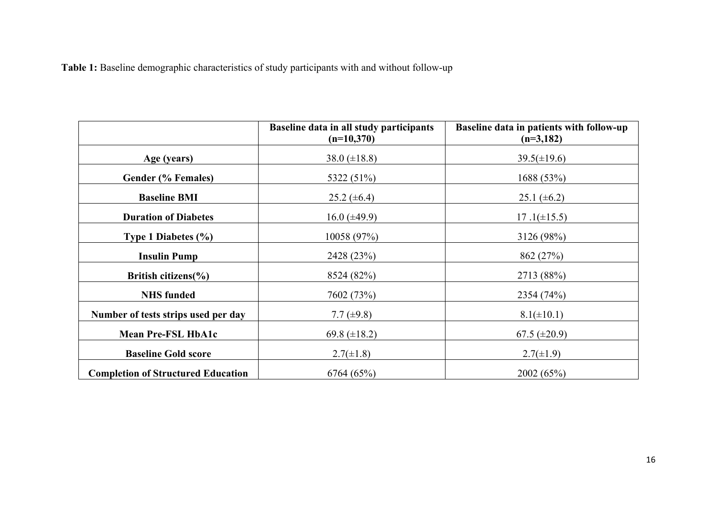**Table 1:** Baseline demographic characteristics of study participants with and without follow-up

|                                           | Baseline data in all study participants<br>$(n=10,370)$ | Baseline data in patients with follow-up<br>$(n=3,182)$ |
|-------------------------------------------|---------------------------------------------------------|---------------------------------------------------------|
| Age (years)                               | 38.0 $(\pm 18.8)$                                       | $39.5(\pm 19.6)$                                        |
| Gender (% Females)                        | 5322 (51%)                                              | 1688 (53%)                                              |
| <b>Baseline BMI</b>                       | 25.2 $(\pm 6.4)$                                        | 25.1 $(\pm 6.2)$                                        |
| <b>Duration of Diabetes</b>               | 16.0 $(\pm 49.9)$                                       | $17.1(\pm 15.5)$                                        |
| Type 1 Diabetes $(\% )$                   | 10058 (97%)                                             | 3126 (98%)                                              |
| <b>Insulin Pump</b>                       | 2428 (23%)                                              | 862 (27%)                                               |
| British citizens $(\% )$                  | 8524 (82%)                                              | 2713 (88%)                                              |
| <b>NHS</b> funded                         | 7602 (73%)                                              | 2354 (74%)                                              |
| Number of tests strips used per day       | 7.7 $(\pm 9.8)$                                         | $8.1(\pm 10.1)$                                         |
| <b>Mean Pre-FSL HbA1c</b>                 | 69.8 $(\pm 18.2)$                                       | 67.5 $(\pm 20.9)$                                       |
| <b>Baseline Gold score</b>                | $2.7(\pm 1.8)$                                          | $2.7(\pm 1.9)$                                          |
| <b>Completion of Structured Education</b> | 6764 (65%)                                              | 2002 (65%)                                              |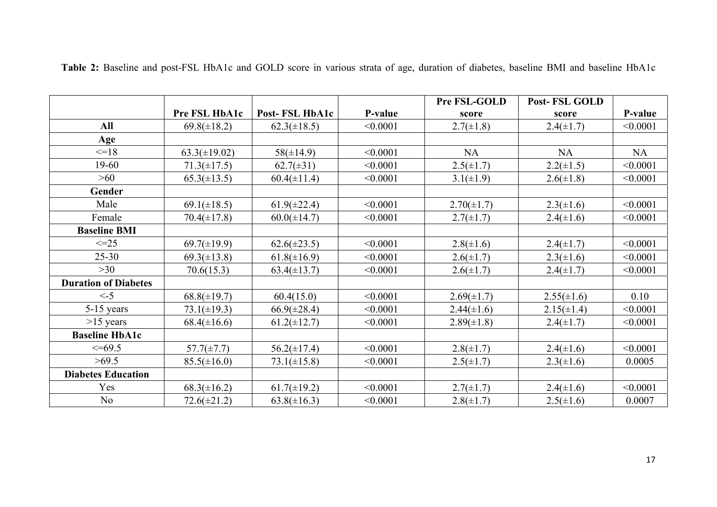|                             |                   |                  |          | Pre FSL-GOLD    | <b>Post-FSL GOLD</b> |          |
|-----------------------------|-------------------|------------------|----------|-----------------|----------------------|----------|
|                             | Pre FSL HbA1c     | Post-FSL HbA1c   | P-value  | score           | score                | P-value  |
| All                         | $69.8(\pm 18.2)$  | $62.3(\pm 18.5)$ | < 0.0001 | $2.7(\pm 1.8)$  | $2.4(\pm 1.7)$       | < 0.0001 |
| Age                         |                   |                  |          |                 |                      |          |
| $\leq$ 18                   | $63.3(\pm 19.02)$ | $58(\pm 14.9)$   | < 0.0001 | <b>NA</b>       | <b>NA</b>            | NA       |
| 19-60                       | $71.3(\pm 17.5)$  | $62.7(\pm 31)$   | < 0.0001 | $2.5(\pm 1.7)$  | $2.2(\pm 1.5)$       | < 0.0001 |
| >60                         | $65.3(\pm 13.5)$  | $60.4(\pm 11.4)$ | < 0.0001 | $3.1(\pm 1.9)$  | $2.6(\pm 1.8)$       | < 0.0001 |
| Gender                      |                   |                  |          |                 |                      |          |
| Male                        | $69.1(\pm 18.5)$  | $61.9(\pm 22.4)$ | < 0.0001 | $2.70(\pm 1.7)$ | $2.3(\pm 1.6)$       | < 0.0001 |
| Female                      | $70.4(\pm 17.8)$  | $60.0(\pm 14.7)$ | < 0.0001 | $2.7(\pm 1.7)$  | $2.4(\pm 1.6)$       | < 0.0001 |
| <b>Baseline BMI</b>         |                   |                  |          |                 |                      |          |
| $\leq$ -25                  | $69.7(\pm 19.9)$  | $62.6(\pm 23.5)$ | < 0.0001 | $2.8(\pm 1.6)$  | $2.4(\pm 1.7)$       | < 0.0001 |
| $25 - 30$                   | $69.3(\pm 13.8)$  | $61.8(\pm 16.9)$ | < 0.0001 | $2.6(\pm 1.7)$  | $2.3(\pm 1.6)$       | < 0.0001 |
| >30                         | 70.6(15.3)        | $63.4(\pm 13.7)$ | < 0.0001 | $2.6(\pm 1.7)$  | $2.4(\pm 1.7)$       | < 0.0001 |
| <b>Duration of Diabetes</b> |                   |                  |          |                 |                      |          |
| $\leq -5$                   | $68.8(\pm 19.7)$  | 60.4(15.0)       | < 0.0001 | $2.69(\pm 1.7)$ | $2.55(\pm 1.6)$      | 0.10     |
| $5-15$ years                | $73.1(\pm 19.3)$  | $66.9(\pm 28.4)$ | < 0.0001 | $2.44(\pm 1.6)$ | $2.15(\pm 1.4)$      | < 0.0001 |
| $>15$ years                 | $68.4(\pm 16.6)$  | $61.2(\pm 12.7)$ | < 0.0001 | $2.89(\pm 1.8)$ | $2.4(\pm 1.7)$       | < 0.0001 |
| <b>Baseline HbA1c</b>       |                   |                  |          |                 |                      |          |
| $\leq$ =69.5                | $57.7(\pm 7.7)$   | $56.2(\pm 17.4)$ | < 0.0001 | $2.8(\pm 1.7)$  | $2.4(\pm 1.6)$       | < 0.0001 |
| >69.5                       | $85.5(\pm 16.0)$  | $73.1(\pm 15.8)$ | < 0.0001 | $2.5(\pm 1.7)$  | $2.3(\pm 1.6)$       | 0.0005   |
| <b>Diabetes Education</b>   |                   |                  |          |                 |                      |          |
| Yes                         | $68.3(\pm 16.2)$  | $61.7(\pm 19.2)$ | < 0.0001 | $2.7(\pm 1.7)$  | $2.4(\pm 1.6)$       | < 0.0001 |
| No                          | $72.6(\pm 21.2)$  | $63.8(\pm 16.3)$ | < 0.0001 | $2.8(\pm 1.7)$  | $2.5(\pm 1.6)$       | 0.0007   |

**Table 2:** Baseline and post-FSL HbA1c and GOLD score in various strata of age, duration of diabetes, baseline BMI and baseline HbA1c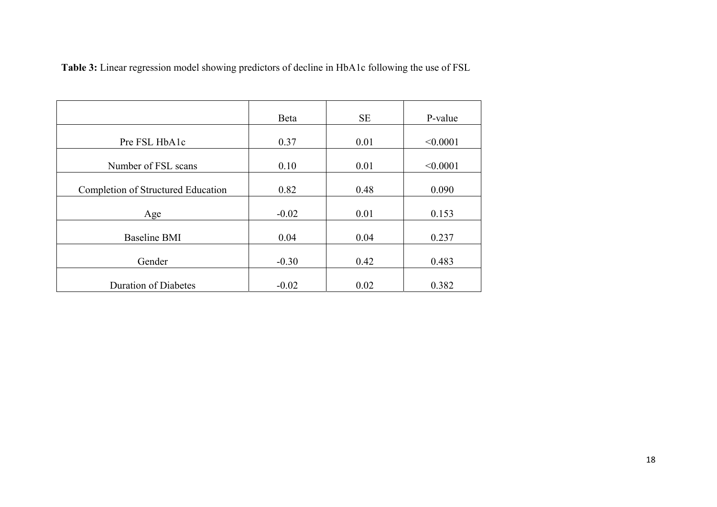**Table 3:** Linear regression model showing predictors of decline in HbA1c following the use of FSL

|                                    | Beta    | <b>SE</b> | P-value  |
|------------------------------------|---------|-----------|----------|
|                                    |         |           |          |
| Pre FSL HbA1c                      | 0.37    | 0.01      | < 0.0001 |
|                                    |         |           |          |
| Number of FSL scans                | 0.10    | 0.01      | < 0.0001 |
|                                    |         |           |          |
| Completion of Structured Education | 0.82    | 0.48      | 0.090    |
|                                    |         |           |          |
| Age                                | $-0.02$ | 0.01      | 0.153    |
|                                    |         |           |          |
| <b>Baseline BMI</b>                | 0.04    | 0.04      | 0.237    |
|                                    |         |           |          |
| Gender                             | $-0.30$ | 0.42      | 0.483    |
|                                    |         |           |          |
| <b>Duration of Diabetes</b>        | $-0.02$ | 0.02      | 0.382    |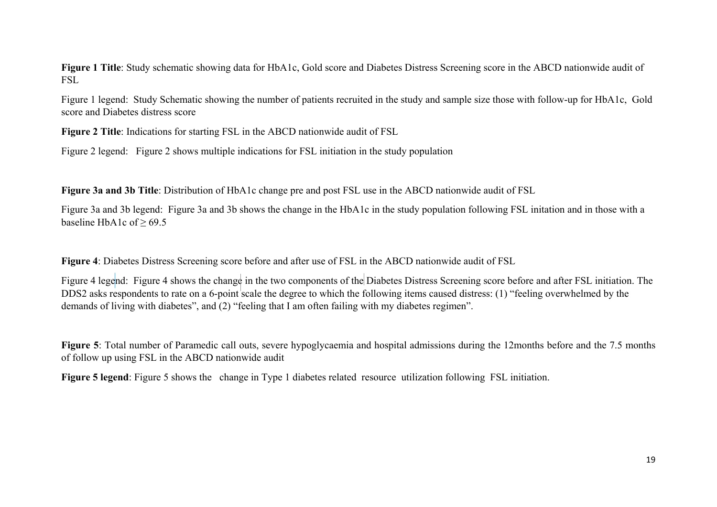**Figure 1 Title**: Study schematic showing data for HbA1c, Gold score and Diabetes Distress Screening score in the ABCD nationwide audit of FSL

Figure 1 legend: Study Schematic showing the number of patients recruited in the study and sample size those with follow-up for HbA1c, Gold score and Diabetes distress score

**Figure 2 Title**: Indications for starting FSL in the ABCD nationwide audit of FSL

Figure 2 legend: Figure 2 shows multiple indications for FSL initiation in the study population

**Figure 3a and 3b Title**: Distribution of HbA1c change pre and post FSL use in the ABCD nationwide audit of FSL

Figure 3a and 3b legend: Figure 3a and 3b shows the change in the HbA1c in the study population following FSL initation and in those with a baseline HbA1c of  $\geq$  69.5

**Figure 4**: Diabetes Distress Screening score before and after use of FSL in the ABCD nationwide audit of FSL

Figure 4 legend: Figure 4 shows the change in the two components of the Diabetes Distress Screening score before and after FSL initiation. The DDS2 asks respondents to rate on a 6-point scale the degree to which the following items caused distress: (1) "feeling overwhelmed by the demands of living with diabetes", and (2) "feeling that I am often failing with my diabetes regimen".

**Figure 5**: Total number of Paramedic call outs, severe hypoglycaemia and hospital admissions during the 12months before and the 7.5 months of follow up using FSL in the ABCD nationwide audit

**Figure 5 legend**: Figure 5 shows the change in Type 1 diabetes related resource utilization following FSL initiation.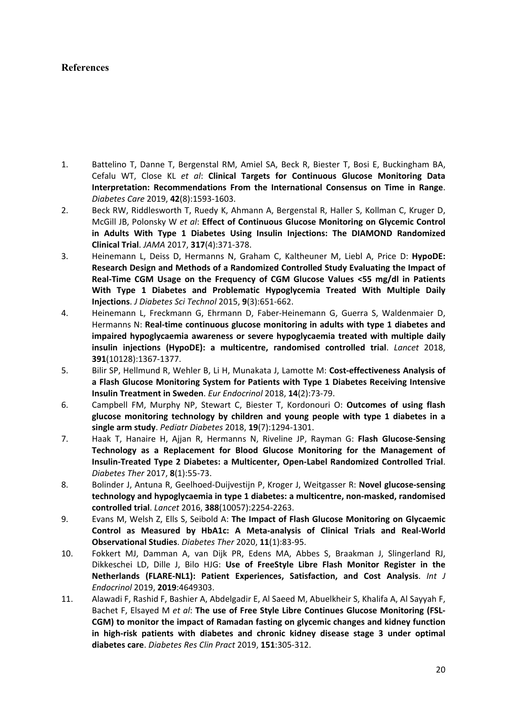# **References**

- 1. Battelino T, Danne T, Bergenstal RM, Amiel SA, Beck R, Biester T, Bosi E, Buckingham BA, Cefalu WT, Close KL *et al*: **Clinical Targets for Continuous Glucose Monitoring Data Interpretation: Recommendations From the International Consensus on Time in Range**. *Diabetes Care* 2019, **42**(8):1593‐1603.
- 2. Beck RW, Riddlesworth T, Ruedy K, Ahmann A, Bergenstal R, Haller S, Kollman C, Kruger D, McGill JB, Polonsky W *et al*: **Effect of Continuous Glucose Monitoring on Glycemic Control in Adults With Type 1 Diabetes Using Insulin Injections: The DIAMOND Randomized Clinical Trial**. *JAMA* 2017, **317**(4):371‐378.
- 3. Heinemann L, Deiss D, Hermanns N, Graham C, Kaltheuner M, Liebl A, Price D: **HypoDE: Research Design and Methods of a Randomized Controlled Study Evaluating the Impact of Real‐Time CGM Usage on the Frequency of CGM Glucose Values <55 mg/dl in Patients With Type 1 Diabetes and Problematic Hypoglycemia Treated With Multiple Daily Injections**. *J Diabetes Sci Technol* 2015, **9**(3):651‐662.
- 4. Heinemann L, Freckmann G, Ehrmann D, Faber‐Heinemann G, Guerra S, Waldenmaier D, Hermanns N: **Real‐time continuous glucose monitoring in adults with type 1 diabetes and impaired hypoglycaemia awareness or severe hypoglycaemia treated with multiple daily insulin injections (HypoDE): a multicentre, randomised controlled trial**. *Lancet*  2018, **391**(10128):1367‐1377.
- 5. Bilir SP, Hellmund R, Wehler B, Li H, Munakata J, Lamotte M: **Cost‐effectiveness Analysis of a Flash Glucose Monitoring System for Patients with Type 1 Diabetes Receiving Intensive Insulin Treatment in Sweden**. *Eur Endocrinol* 2018, **14**(2):73‐79.
- 6. Campbell FM, Murphy NP, Stewart C, Biester T, Kordonouri O: **Outcomes of using flash glucose monitoring technology by children and young people with type 1 diabetes in a single arm study**. *Pediatr Diabetes* 2018, **19**(7):1294‐1301.
- 7. Haak T, Hanaire H, Ajjan R, Hermanns N, Riveline JP, Rayman G: **Flash Glucose‐Sensing Technology as a Replacement for Blood Glucose Monitoring for the Management of Insulin‐Treated Type 2 Diabetes: a Multicenter, Open‐Label Randomized Controlled Trial**. *Diabetes Ther* 2017, **8**(1):55‐73.
- 8. Bolinder J, Antuna R, Geelhoed‐Duijvestijn P, Kroger J, Weitgasser R: **Novel glucose‐sensing technology and hypoglycaemia in type 1 diabetes: a multicentre, non‐masked, randomised controlled trial**. *Lancet* 2016, **388**(10057):2254‐2263.
- 9. Evans M, Welsh Z, Ells S, Seibold A: **The Impact of Flash Glucose Monitoring on Glycaemic Control as Measured by HbA1c: A Meta‐analysis of Clinical Trials and Real‐World Observational Studies**. *Diabetes Ther* 2020, **11**(1):83‐95.
- 10. Fokkert MJ, Damman A, van Dijk PR, Edens MA, Abbes S, Braakman J, Slingerland RJ, Dikkeschei LD, Dille J, Bilo HJG: **Use of FreeStyle Libre Flash Monitor Register in the Netherlands (FLARE‐NL1): Patient Experiences, Satisfaction, and Cost Analysis**. *Int J Endocrinol* 2019, **2019**:4649303.
- 11. Alawadi F, Rashid F, Bashier A, Abdelgadir E, Al Saeed M, Abuelkheir S, Khalifa A, Al Sayyah F, Bachet F, Elsayed M *et al*: **The use of Free Style Libre Continues Glucose Monitoring (FSL‐ CGM) to monitor the impact of Ramadan fasting on glycemic changes and kidney function in high‐risk patients with diabetes and chronic kidney disease stage 3 under optimal diabetes care**. *Diabetes Res Clin Pract* 2019, **151**:305‐312.